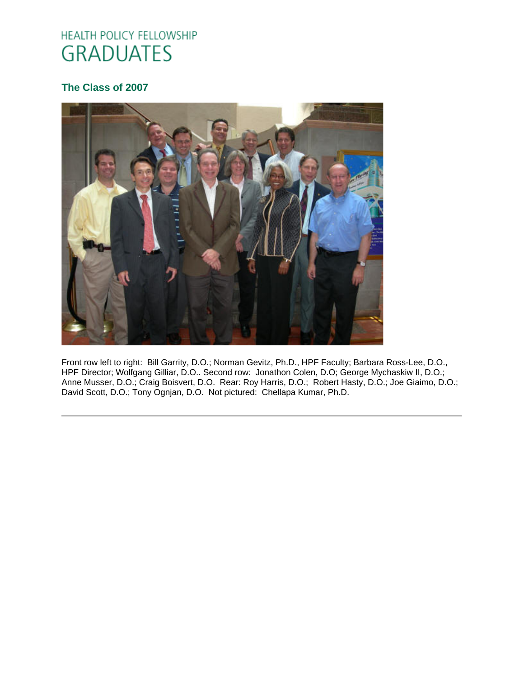# HEALTH POLICY FELLOWSHIP **GRADUATES**

# **The Class of 2007**



Front row left to right: Bill Garrity, D.O.; Norman Gevitz, Ph.D., HPF Faculty; Barbara Ross-Lee, D.O., HPF Director; Wolfgang Gilliar, D.O.. Second row: Jonathon Colen, D.O; George Mychaskiw II, D.O.; Anne Musser, D.O.; Craig Boisvert, D.O. Rear: Roy Harris, D.O.; Robert Hasty, D.O.; Joe Giaimo, D.O.; David Scott, D.O.; Tony Ognjan, D.O. Not pictured: Chellapa Kumar, Ph.D.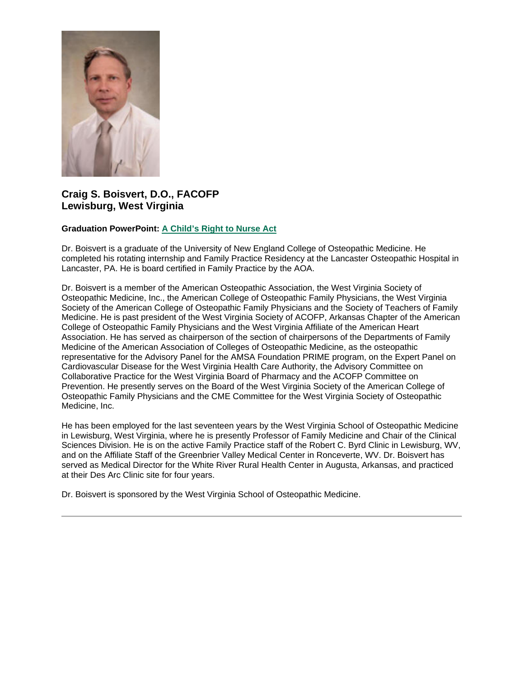

## **Craig S. Boisvert, D.O., FACOFP Lewisburg, West Virginia**

## **Graduation PowerPoint: [A Child's Right to Nurse Act](https://ohio.box.com/s/hb4pwrgbxowzq3nyejpkgh8bbwzz1en8)**

Dr. Boisvert is a graduate of the University of New England College of Osteopathic Medicine. He completed his rotating internship and Family Practice Residency at the Lancaster Osteopathic Hospital in Lancaster, PA. He is board certified in Family Practice by the AOA.

Dr. Boisvert is a member of the American Osteopathic Association, the West Virginia Society of Osteopathic Medicine, Inc., the American College of Osteopathic Family Physicians, the West Virginia Society of the American College of Osteopathic Family Physicians and the Society of Teachers of Family Medicine. He is past president of the West Virginia Society of ACOFP, Arkansas Chapter of the American College of Osteopathic Family Physicians and the West Virginia Affiliate of the American Heart Association. He has served as chairperson of the section of chairpersons of the Departments of Family Medicine of the American Association of Colleges of Osteopathic Medicine, as the osteopathic representative for the Advisory Panel for the AMSA Foundation PRIME program, on the Expert Panel on Cardiovascular Disease for the West Virginia Health Care Authority, the Advisory Committee on Collaborative Practice for the West Virginia Board of Pharmacy and the ACOFP Committee on Prevention. He presently serves on the Board of the West Virginia Society of the American College of Osteopathic Family Physicians and the CME Committee for the West Virginia Society of Osteopathic Medicine, Inc.

He has been employed for the last seventeen years by the West Virginia School of Osteopathic Medicine in Lewisburg, West Virginia, where he is presently Professor of Family Medicine and Chair of the Clinical Sciences Division. He is on the active Family Practice staff of the Robert C. Byrd Clinic in Lewisburg, WV, and on the Affiliate Staff of the Greenbrier Valley Medical Center in Ronceverte, WV. Dr. Boisvert has served as Medical Director for the White River Rural Health Center in Augusta, Arkansas, and practiced at their Des Arc Clinic site for four years.

Dr. Boisvert is sponsored by the West Virginia School of Osteopathic Medicine.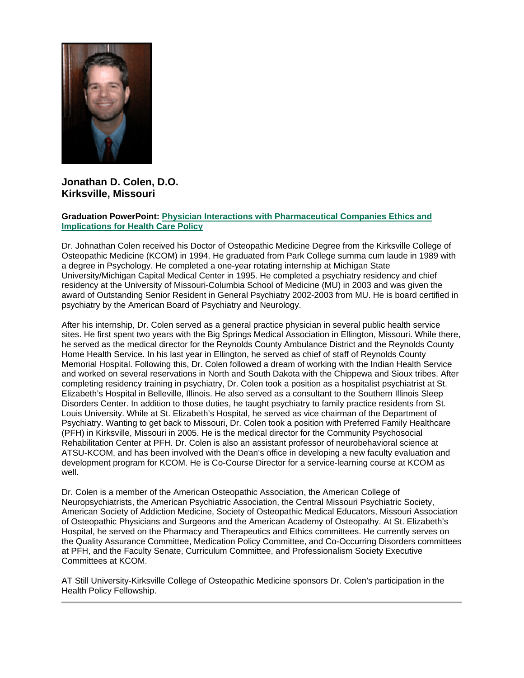

## **Jonathan D. Colen, D.O. Kirksville, Missouri**

#### **Graduation PowerPoint: [Physician Interactions with Pharmaceutical Companies Ethics and](https://ohio.box.com/s/wvm9zr9vzsfw54du0e29j9qtpqnr1ksu)  [Implications for Health Care Policy](https://ohio.box.com/s/wvm9zr9vzsfw54du0e29j9qtpqnr1ksu)**

Dr. Johnathan Colen received his Doctor of Osteopathic Medicine Degree from the Kirksville College of Osteopathic Medicine (KCOM) in 1994. He graduated from Park College summa cum laude in 1989 with a degree in Psychology. He completed a one-year rotating internship at Michigan State University/Michigan Capital Medical Center in 1995. He completed a psychiatry residency and chief residency at the University of Missouri-Columbia School of Medicine (MU) in 2003 and was given the award of Outstanding Senior Resident in General Psychiatry 2002-2003 from MU. He is board certified in psychiatry by the American Board of Psychiatry and Neurology.

After his internship, Dr. Colen served as a general practice physician in several public health service sites. He first spent two years with the Big Springs Medical Association in Ellington, Missouri. While there, he served as the medical director for the Reynolds County Ambulance District and the Reynolds County Home Health Service. In his last year in Ellington, he served as chief of staff of Reynolds County Memorial Hospital. Following this, Dr. Colen followed a dream of working with the Indian Health Service and worked on several reservations in North and South Dakota with the Chippewa and Sioux tribes. After completing residency training in psychiatry, Dr. Colen took a position as a hospitalist psychiatrist at St. Elizabeth's Hospital in Belleville, Illinois. He also served as a consultant to the Southern Illinois Sleep Disorders Center. In addition to those duties, he taught psychiatry to family practice residents from St. Louis University. While at St. Elizabeth's Hospital, he served as vice chairman of the Department of Psychiatry. Wanting to get back to Missouri, Dr. Colen took a position with Preferred Family Healthcare (PFH) in Kirksville, Missouri in 2005. He is the medical director for the Community Psychosocial Rehabilitation Center at PFH. Dr. Colen is also an assistant professor of neurobehavioral science at ATSU-KCOM, and has been involved with the Dean's office in developing a new faculty evaluation and development program for KCOM. He is Co-Course Director for a service-learning course at KCOM as well.

Dr. Colen is a member of the American Osteopathic Association, the American College of Neuropsychiatrists, the American Psychiatric Association, the Central Missouri Psychiatric Society, American Society of Addiction Medicine, Society of Osteopathic Medical Educators, Missouri Association of Osteopathic Physicians and Surgeons and the American Academy of Osteopathy. At St. Elizabeth's Hospital, he served on the Pharmacy and Therapeutics and Ethics committees. He currently serves on the Quality Assurance Committee, Medication Policy Committee, and Co-Occurring Disorders committees at PFH, and the Faculty Senate, Curriculum Committee, and Professionalism Society Executive Committees at KCOM.

AT Still University-Kirksville College of Osteopathic Medicine sponsors Dr. Colen's participation in the Health Policy Fellowship.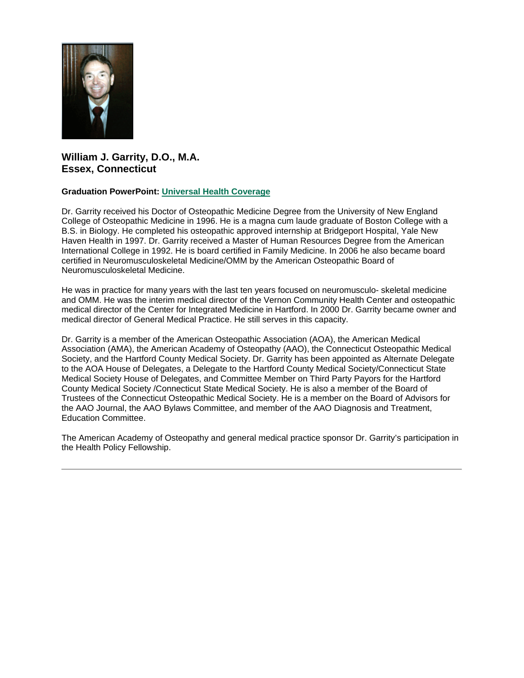

## **William J. Garrity, D.O., M.A. Essex, Connecticut**

## **Graduation PowerPoint: [Universal Health Coverage](https://ohio.box.com/s/er1bssgri7chm2zsfdcujpekepfdwrco)**

Dr. Garrity received his Doctor of Osteopathic Medicine Degree from the University of New England College of Osteopathic Medicine in 1996. He is a magna cum laude graduate of Boston College with a B.S. in Biology. He completed his osteopathic approved internship at Bridgeport Hospital, Yale New Haven Health in 1997. Dr. Garrity received a Master of Human Resources Degree from the American International College in 1992. He is board certified in Family Medicine. In 2006 he also became board certified in Neuromusculoskeletal Medicine/OMM by the American Osteopathic Board of Neuromusculoskeletal Medicine.

He was in practice for many years with the last ten years focused on neuromusculo- skeletal medicine and OMM. He was the interim medical director of the Vernon Community Health Center and osteopathic medical director of the Center for Integrated Medicine in Hartford. In 2000 Dr. Garrity became owner and medical director of General Medical Practice. He still serves in this capacity.

Dr. Garrity is a member of the American Osteopathic Association (AOA), the American Medical Association (AMA), the American Academy of Osteopathy (AAO), the Connecticut Osteopathic Medical Society, and the Hartford County Medical Society. Dr. Garrity has been appointed as Alternate Delegate to the AOA House of Delegates, a Delegate to the Hartford County Medical Society/Connecticut State Medical Society House of Delegates, and Committee Member on Third Party Payors for the Hartford County Medical Society /Connecticut State Medical Society. He is also a member of the Board of Trustees of the Connecticut Osteopathic Medical Society. He is a member on the Board of Advisors for the AAO Journal, the AAO Bylaws Committee, and member of the AAO Diagnosis and Treatment, Education Committee.

The American Academy of Osteopathy and general medical practice sponsor Dr. Garrity's participation in the Health Policy Fellowship.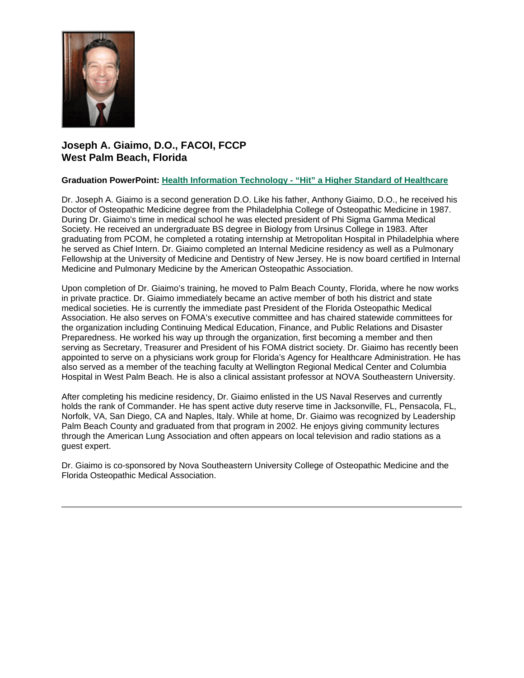

# **Joseph A. Giaimo, D.O., FACOI, FCCP West Palm Beach, Florida**

## **Graduation PowerPoint: Health Information Technology - ["Hit" a Higher Standard of Healthcare](https://ohio.box.com/s/nsv0482erzxc5la3eovr8dbo68ktmlh9)**

Dr. Joseph A. Giaimo is a second generation D.O. Like his father, Anthony Giaimo, D.O., he received his Doctor of Osteopathic Medicine degree from the Philadelphia College of Osteopathic Medicine in 1987. During Dr. Giaimo's time in medical school he was elected president of Phi Sigma Gamma Medical Society. He received an undergraduate BS degree in Biology from Ursinus College in 1983. After graduating from PCOM, he completed a rotating internship at Metropolitan Hospital in Philadelphia where he served as Chief Intern. Dr. Giaimo completed an Internal Medicine residency as well as a Pulmonary Fellowship at the University of Medicine and Dentistry of New Jersey. He is now board certified in Internal Medicine and Pulmonary Medicine by the American Osteopathic Association.

Upon completion of Dr. Giaimo's training, he moved to Palm Beach County, Florida, where he now works in private practice. Dr. Giaimo immediately became an active member of both his district and state medical societies. He is currently the immediate past President of the Florida Osteopathic Medical Association. He also serves on FOMA's executive committee and has chaired statewide committees for the organization including Continuing Medical Education, Finance, and Public Relations and Disaster Preparedness. He worked his way up through the organization, first becoming a member and then serving as Secretary, Treasurer and President of his FOMA district society. Dr. Giaimo has recently been appointed to serve on a physicians work group for Florida's Agency for Healthcare Administration. He has also served as a member of the teaching faculty at Wellington Regional Medical Center and Columbia Hospital in West Palm Beach. He is also a clinical assistant professor at NOVA Southeastern University.

After completing his medicine residency, Dr. Giaimo enlisted in the US Naval Reserves and currently holds the rank of Commander. He has spent active duty reserve time in Jacksonville, FL, Pensacola, FL, Norfolk, VA, San Diego, CA and Naples, Italy. While at home, Dr. Giaimo was recognized by Leadership Palm Beach County and graduated from that program in 2002. He enjoys giving community lectures through the American Lung Association and often appears on local television and radio stations as a guest expert.

Dr. Giaimo is co-sponsored by Nova Southeastern University College of Osteopathic Medicine and the Florida Osteopathic Medical Association.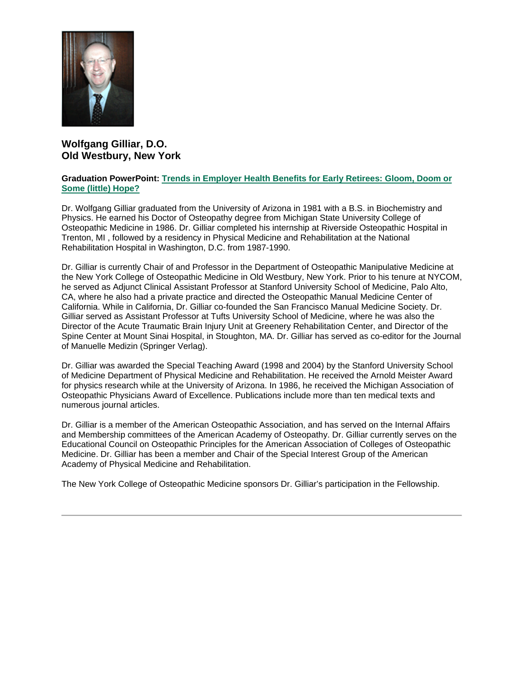

## **Wolfgang Gilliar, D.O. Old Westbury, New York**

#### **Graduation PowerPoint: [Trends in Employer Health Benefits for Early Retirees: Gloom, Doom or](https://ohio.box.com/s/xkwu7o7gmtkqpgnsv4n9iqgafrl3x1er)  [Some \(little\) Hope?](https://ohio.box.com/s/xkwu7o7gmtkqpgnsv4n9iqgafrl3x1er)**

Dr. Wolfgang Gilliar graduated from the University of Arizona in 1981 with a B.S. in Biochemistry and Physics. He earned his Doctor of Osteopathy degree from Michigan State University College of Osteopathic Medicine in 1986. Dr. Gilliar completed his internship at Riverside Osteopathic Hospital in Trenton, MI , followed by a residency in Physical Medicine and Rehabilitation at the National Rehabilitation Hospital in Washington, D.C. from 1987-1990.

Dr. Gilliar is currently Chair of and Professor in the Department of Osteopathic Manipulative Medicine at the New York College of Osteopathic Medicine in Old Westbury, New York. Prior to his tenure at NYCOM, he served as Adjunct Clinical Assistant Professor at Stanford University School of Medicine, Palo Alto, CA, where he also had a private practice and directed the Osteopathic Manual Medicine Center of California. While in California, Dr. Gilliar co-founded the San Francisco Manual Medicine Society. Dr. Gilliar served as Assistant Professor at Tufts University School of Medicine, where he was also the Director of the Acute Traumatic Brain Injury Unit at Greenery Rehabilitation Center, and Director of the Spine Center at Mount Sinai Hospital, in Stoughton, MA. Dr. Gilliar has served as co-editor for the Journal of Manuelle Medizin (Springer Verlag).

Dr. Gilliar was awarded the Special Teaching Award (1998 and 2004) by the Stanford University School of Medicine Department of Physical Medicine and Rehabilitation. He received the Arnold Meister Award for physics research while at the University of Arizona. In 1986, he received the Michigan Association of Osteopathic Physicians Award of Excellence. Publications include more than ten medical texts and numerous journal articles.

Dr. Gilliar is a member of the American Osteopathic Association, and has served on the Internal Affairs and Membership committees of the American Academy of Osteopathy. Dr. Gilliar currently serves on the Educational Council on Osteopathic Principles for the American Association of Colleges of Osteopathic Medicine. Dr. Gilliar has been a member and Chair of the Special Interest Group of the American Academy of Physical Medicine and Rehabilitation.

The New York College of Osteopathic Medicine sponsors Dr. Gilliar's participation in the Fellowship.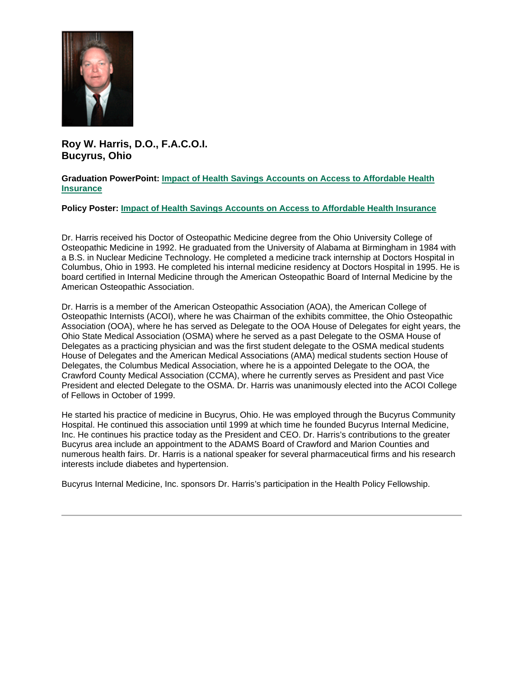

**Roy W. Harris, D.O., F.A.C.O.I. Bucyrus, Ohio**

#### **Graduation PowerPoint: [Impact of Health Savings Accounts on Access to Affordable Health](https://ohio.box.com/s/ks0yde4x2v70qi4v16i6tsa7922hynbm)  [Insurance](https://ohio.box.com/s/ks0yde4x2v70qi4v16i6tsa7922hynbm)**

#### **Policy Poster: [Impact of Health Savings Accounts on Access to Affordable Health Insurance](https://ohio.box.com/s/qzvkqn57g9gocjgl57b0jt6ai1fdkdg1)**

Dr. Harris received his Doctor of Osteopathic Medicine degree from the Ohio University College of Osteopathic Medicine in 1992. He graduated from the University of Alabama at Birmingham in 1984 with a B.S. in Nuclear Medicine Technology. He completed a medicine track internship at Doctors Hospital in Columbus, Ohio in 1993. He completed his internal medicine residency at Doctors Hospital in 1995. He is board certified in Internal Medicine through the American Osteopathic Board of Internal Medicine by the American Osteopathic Association.

Dr. Harris is a member of the American Osteopathic Association (AOA), the American College of Osteopathic Internists (ACOI), where he was Chairman of the exhibits committee, the Ohio Osteopathic Association (OOA), where he has served as Delegate to the OOA House of Delegates for eight years, the Ohio State Medical Association (OSMA) where he served as a past Delegate to the OSMA House of Delegates as a practicing physician and was the first student delegate to the OSMA medical students House of Delegates and the American Medical Associations (AMA) medical students section House of Delegates, the Columbus Medical Association, where he is a appointed Delegate to the OOA, the Crawford County Medical Association (CCMA), where he currently serves as President and past Vice President and elected Delegate to the OSMA. Dr. Harris was unanimously elected into the ACOI College of Fellows in October of 1999.

He started his practice of medicine in Bucyrus, Ohio. He was employed through the Bucyrus Community Hospital. He continued this association until 1999 at which time he founded Bucyrus Internal Medicine, Inc. He continues his practice today as the President and CEO. Dr. Harris's contributions to the greater Bucyrus area include an appointment to the ADAMS Board of Crawford and Marion Counties and numerous health fairs. Dr. Harris is a national speaker for several pharmaceutical firms and his research interests include diabetes and hypertension.

Bucyrus Internal Medicine, Inc. sponsors Dr. Harris's participation in the Health Policy Fellowship.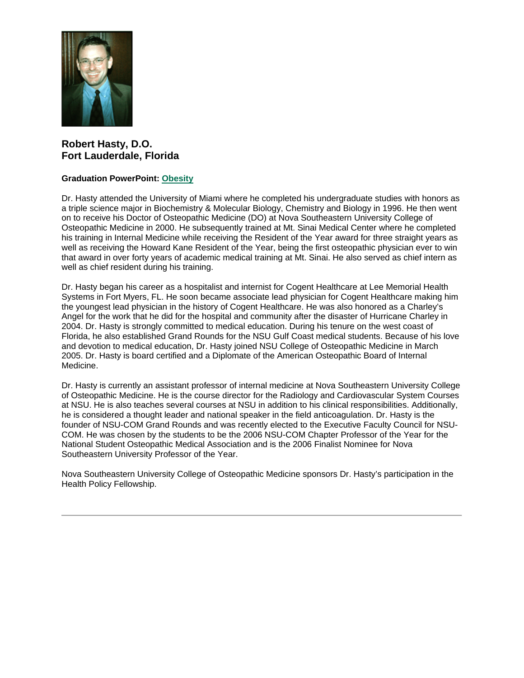

## **Robert Hasty, D.O. Fort Lauderdale, Florida**

## **Graduation PowerPoint: [Obesity](https://ohio.box.com/s/218i9zdi5r5o276yr7zpfh2ouafh1hdy)**

Dr. Hasty attended the University of Miami where he completed his undergraduate studies with honors as a triple science major in Biochemistry & Molecular Biology, Chemistry and Biology in 1996. He then went on to receive his Doctor of Osteopathic Medicine (DO) at Nova Southeastern University College of Osteopathic Medicine in 2000. He subsequently trained at Mt. Sinai Medical Center where he completed his training in Internal Medicine while receiving the Resident of the Year award for three straight years as well as receiving the Howard Kane Resident of the Year, being the first osteopathic physician ever to win that award in over forty years of academic medical training at Mt. Sinai. He also served as chief intern as well as chief resident during his training.

Dr. Hasty began his career as a hospitalist and internist for Cogent Healthcare at Lee Memorial Health Systems in Fort Myers, FL. He soon became associate lead physician for Cogent Healthcare making him the youngest lead physician in the history of Cogent Healthcare. He was also honored as a Charley's Angel for the work that he did for the hospital and community after the disaster of Hurricane Charley in 2004. Dr. Hasty is strongly committed to medical education. During his tenure on the west coast of Florida, he also established Grand Rounds for the NSU Gulf Coast medical students. Because of his love and devotion to medical education, Dr. Hasty joined NSU College of Osteopathic Medicine in March 2005. Dr. Hasty is board certified and a Diplomate of the American Osteopathic Board of Internal Medicine.

Dr. Hasty is currently an assistant professor of internal medicine at Nova Southeastern University College of Osteopathic Medicine. He is the course director for the Radiology and Cardiovascular System Courses at NSU. He is also teaches several courses at NSU in addition to his clinical responsibilities. Additionally, he is considered a thought leader and national speaker in the field anticoagulation. Dr. Hasty is the founder of NSU-COM Grand Rounds and was recently elected to the Executive Faculty Council for NSU-COM. He was chosen by the students to be the 2006 NSU-COM Chapter Professor of the Year for the National Student Osteopathic Medical Association and is the 2006 Finalist Nominee for Nova Southeastern University Professor of the Year.

Nova Southeastern University College of Osteopathic Medicine sponsors Dr. Hasty's participation in the Health Policy Fellowship.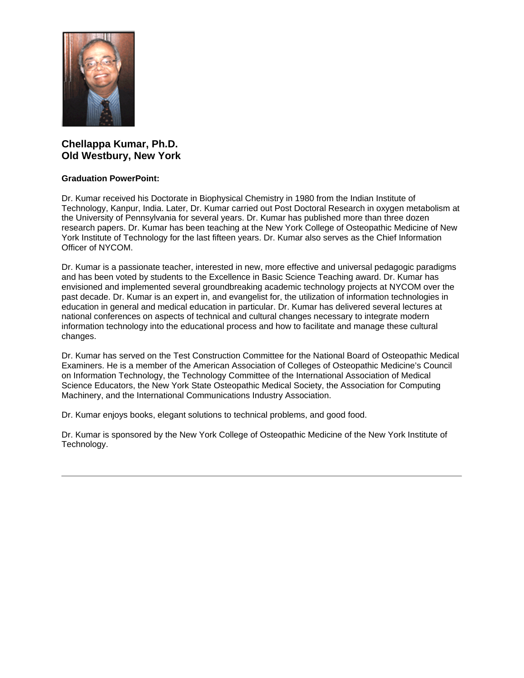

## **Chellappa Kumar, Ph.D. Old Westbury, New York**

## **Graduation PowerPoint:**

Dr. Kumar received his Doctorate in Biophysical Chemistry in 1980 from the Indian Institute of Technology, Kanpur, India. Later, Dr. Kumar carried out Post Doctoral Research in oxygen metabolism at the University of Pennsylvania for several years. Dr. Kumar has published more than three dozen research papers. Dr. Kumar has been teaching at the New York College of Osteopathic Medicine of New York Institute of Technology for the last fifteen years. Dr. Kumar also serves as the Chief Information Officer of NYCOM.

Dr. Kumar is a passionate teacher, interested in new, more effective and universal pedagogic paradigms and has been voted by students to the Excellence in Basic Science Teaching award. Dr. Kumar has envisioned and implemented several groundbreaking academic technology projects at NYCOM over the past decade. Dr. Kumar is an expert in, and evangelist for, the utilization of information technologies in education in general and medical education in particular. Dr. Kumar has delivered several lectures at national conferences on aspects of technical and cultural changes necessary to integrate modern information technology into the educational process and how to facilitate and manage these cultural changes.

Dr. Kumar has served on the Test Construction Committee for the National Board of Osteopathic Medical Examiners. He is a member of the American Association of Colleges of Osteopathic Medicine's Council on Information Technology, the Technology Committee of the International Association of Medical Science Educators, the New York State Osteopathic Medical Society, the Association for Computing Machinery, and the International Communications Industry Association.

Dr. Kumar enjoys books, elegant solutions to technical problems, and good food.

Dr. Kumar is sponsored by the New York College of Osteopathic Medicine of the New York Institute of Technology.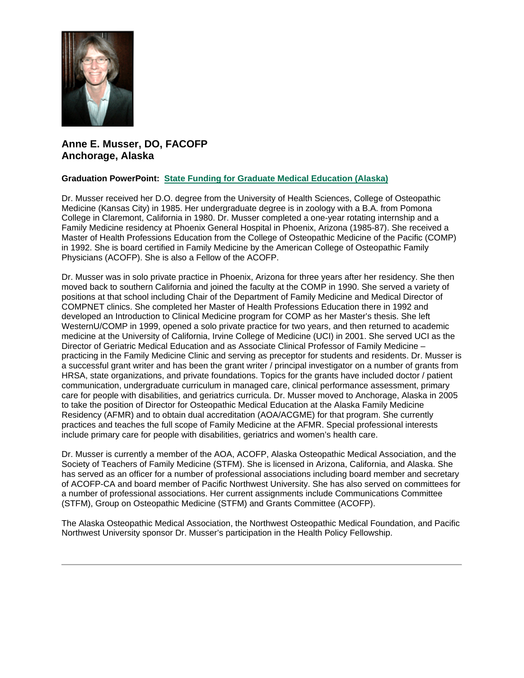

## **Anne E. Musser, DO, FACOFP Anchorage, Alaska**

## **Graduation PowerPoint: [State Funding for Graduate Medical Education \(Alaska\)](https://ohio.box.com/s/jdzahrh19mfmrs8sblc6l0mzma6ar16p)**

Dr. Musser received her D.O. degree from the University of Health Sciences, College of Osteopathic Medicine (Kansas City) in 1985. Her undergraduate degree is in zoology with a B.A. from Pomona College in Claremont, California in 1980. Dr. Musser completed a one-year rotating internship and a Family Medicine residency at Phoenix General Hospital in Phoenix, Arizona (1985-87). She received a Master of Health Professions Education from the College of Osteopathic Medicine of the Pacific (COMP) in 1992. She is board certified in Family Medicine by the American College of Osteopathic Family Physicians (ACOFP). She is also a Fellow of the ACOFP.

Dr. Musser was in solo private practice in Phoenix, Arizona for three years after her residency. She then moved back to southern California and joined the faculty at the COMP in 1990. She served a variety of positions at that school including Chair of the Department of Family Medicine and Medical Director of COMPNET clinics. She completed her Master of Health Professions Education there in 1992 and developed an Introduction to Clinical Medicine program for COMP as her Master's thesis. She left WesternU/COMP in 1999, opened a solo private practice for two years, and then returned to academic medicine at the University of California, Irvine College of Medicine (UCI) in 2001. She served UCI as the Director of Geriatric Medical Education and as Associate Clinical Professor of Family Medicine – practicing in the Family Medicine Clinic and serving as preceptor for students and residents. Dr. Musser is a successful grant writer and has been the grant writer / principal investigator on a number of grants from HRSA, state organizations, and private foundations. Topics for the grants have included doctor / patient communication, undergraduate curriculum in managed care, clinical performance assessment, primary care for people with disabilities, and geriatrics curricula. Dr. Musser moved to Anchorage, Alaska in 2005 to take the position of Director for Osteopathic Medical Education at the Alaska Family Medicine Residency (AFMR) and to obtain dual accreditation (AOA/ACGME) for that program. She currently practices and teaches the full scope of Family Medicine at the AFMR. Special professional interests include primary care for people with disabilities, geriatrics and women's health care.

Dr. Musser is currently a member of the AOA, ACOFP, Alaska Osteopathic Medical Association, and the Society of Teachers of Family Medicine (STFM). She is licensed in Arizona, California, and Alaska. She has served as an officer for a number of professional associations including board member and secretary of ACOFP-CA and board member of Pacific Northwest University. She has also served on committees for a number of professional associations. Her current assignments include Communications Committee (STFM), Group on Osteopathic Medicine (STFM) and Grants Committee (ACOFP).

The Alaska Osteopathic Medical Association, the Northwest Osteopathic Medical Foundation, and Pacific Northwest University sponsor Dr. Musser's participation in the Health Policy Fellowship.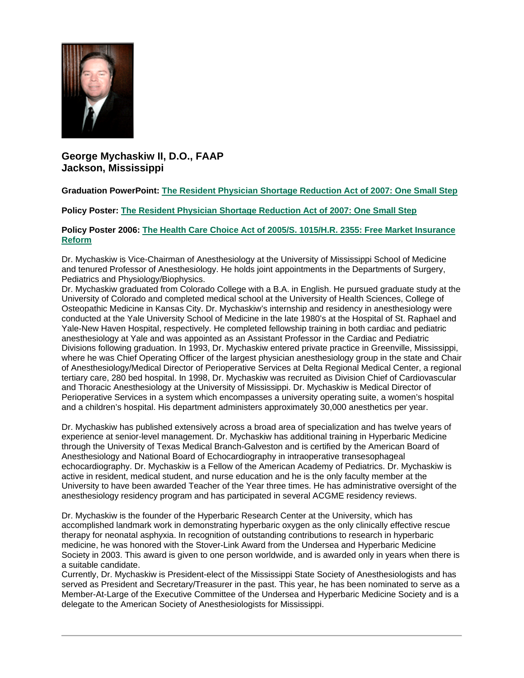

**George Mychaskiw II, D.O., FAAP Jackson, Mississippi**

## **Graduation PowerPoint: [The Resident Physician Shortage Reduction Act of 2007: One Small Step](https://ohio.box.com/s/7ps55g7l0lc7vlucrm02ca74o7bhog8g)**

**Policy Poster: [The Resident Physician Shortage Reduction Act of 2007: One Small Step](https://ohio.box.com/s/0zs16v0j4j0n1m4qu20vx6bolron27mv)**

#### **Policy Poster 2006: [The Health Care Choice Act of 2005/S. 1015/H.R. 2355: Free Market Insurance](https://ohio.box.com/s/g4pc5bq3wl5g3hdeqvbk8o8vefj2g4mg)  [Reform](https://ohio.box.com/s/g4pc5bq3wl5g3hdeqvbk8o8vefj2g4mg)**

Dr. Mychaskiw is Vice-Chairman of Anesthesiology at the University of Mississippi School of Medicine and tenured Professor of Anesthesiology. He holds joint appointments in the Departments of Surgery, Pediatrics and Physiology/Biophysics.

Dr. Mychaskiw graduated from Colorado College with a B.A. in English. He pursued graduate study at the University of Colorado and completed medical school at the University of Health Sciences, College of Osteopathic Medicine in Kansas City. Dr. Mychaskiw's internship and residency in anesthesiology were conducted at the Yale University School of Medicine in the late 1980's at the Hospital of St. Raphael and Yale-New Haven Hospital, respectively. He completed fellowship training in both cardiac and pediatric anesthesiology at Yale and was appointed as an Assistant Professor in the Cardiac and Pediatric Divisions following graduation. In 1993, Dr. Mychaskiw entered private practice in Greenville, Mississippi, where he was Chief Operating Officer of the largest physician anesthesiology group in the state and Chair of Anesthesiology/Medical Director of Perioperative Services at Delta Regional Medical Center, a regional tertiary care, 280 bed hospital. In 1998, Dr. Mychaskiw was recruited as Division Chief of Cardiovascular and Thoracic Anesthesiology at the University of Mississippi. Dr. Mychaskiw is Medical Director of Perioperative Services in a system which encompasses a university operating suite, a women's hospital and a children's hospital. His department administers approximately 30,000 anesthetics per year.

Dr. Mychaskiw has published extensively across a broad area of specialization and has twelve years of experience at senior-level management. Dr. Mychaskiw has additional training in Hyperbaric Medicine through the University of Texas Medical Branch-Galveston and is certified by the American Board of Anesthesiology and National Board of Echocardiography in intraoperative transesophageal echocardiography. Dr. Mychaskiw is a Fellow of the American Academy of Pediatrics. Dr. Mychaskiw is active in resident, medical student, and nurse education and he is the only faculty member at the University to have been awarded Teacher of the Year three times. He has administrative oversight of the anesthesiology residency program and has participated in several ACGME residency reviews.

Dr. Mychaskiw is the founder of the Hyperbaric Research Center at the University, which has accomplished landmark work in demonstrating hyperbaric oxygen as the only clinically effective rescue therapy for neonatal asphyxia. In recognition of outstanding contributions to research in hyperbaric medicine, he was honored with the Stover-Link Award from the Undersea and Hyperbaric Medicine Society in 2003. This award is given to one person worldwide, and is awarded only in years when there is a suitable candidate.

Currently, Dr. Mychaskiw is President-elect of the Mississippi State Society of Anesthesiologists and has served as President and Secretary/Treasurer in the past. This year, he has been nominated to serve as a Member-At-Large of the Executive Committee of the Undersea and Hyperbaric Medicine Society and is a delegate to the American Society of Anesthesiologists for Mississippi.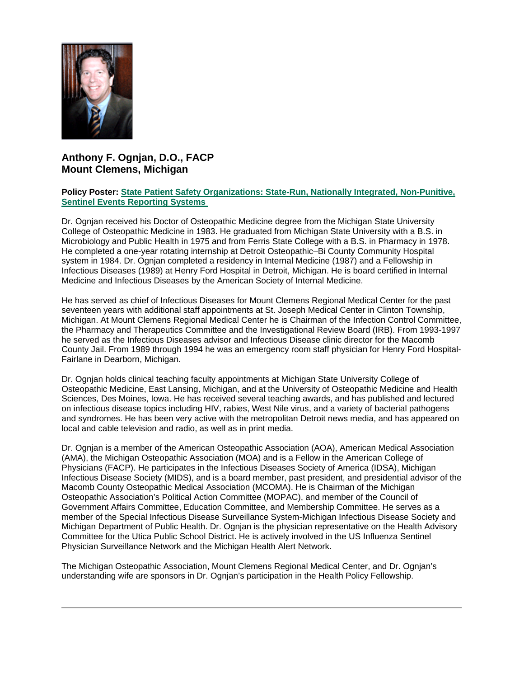

## **Anthony F. Ognjan, D.O., FACP Mount Clemens, Michigan**

#### **Policy Poster: [State Patient Safety Organizations: State-Run, Nationally Integrated, Non-Punitive,](https://ohio.box.com/s/ot80i4nkje1ajm8326lsi3b3gpgdbpi5)  [Sentinel Events Reporting Systems](https://ohio.box.com/s/ot80i4nkje1ajm8326lsi3b3gpgdbpi5)**

Dr. Ognjan received his Doctor of Osteopathic Medicine degree from the Michigan State University College of Osteopathic Medicine in 1983. He graduated from Michigan State University with a B.S. in Microbiology and Public Health in 1975 and from Ferris State College with a B.S. in Pharmacy in 1978. He completed a one-year rotating internship at Detroit Osteopathic–Bi County Community Hospital system in 1984. Dr. Ognjan completed a residency in Internal Medicine (1987) and a Fellowship in Infectious Diseases (1989) at Henry Ford Hospital in Detroit, Michigan. He is board certified in Internal Medicine and Infectious Diseases by the American Society of Internal Medicine.

He has served as chief of Infectious Diseases for Mount Clemens Regional Medical Center for the past seventeen years with additional staff appointments at St. Joseph Medical Center in Clinton Township, Michigan. At Mount Clemens Regional Medical Center he is Chairman of the Infection Control Committee, the Pharmacy and Therapeutics Committee and the Investigational Review Board (IRB). From 1993-1997 he served as the Infectious Diseases advisor and Infectious Disease clinic director for the Macomb County Jail. From 1989 through 1994 he was an emergency room staff physician for Henry Ford Hospital-Fairlane in Dearborn, Michigan.

Dr. Ognjan holds clinical teaching faculty appointments at Michigan State University College of Osteopathic Medicine, East Lansing, Michigan, and at the University of Osteopathic Medicine and Health Sciences, Des Moines, Iowa. He has received several teaching awards, and has published and lectured on infectious disease topics including HIV, rabies, West Nile virus, and a variety of bacterial pathogens and syndromes. He has been very active with the metropolitan Detroit news media, and has appeared on local and cable television and radio, as well as in print media.

Dr. Ognjan is a member of the American Osteopathic Association (AOA), American Medical Association (AMA), the Michigan Osteopathic Association (MOA) and is a Fellow in the American College of Physicians (FACP). He participates in the Infectious Diseases Society of America (IDSA), Michigan Infectious Disease Society (MIDS), and is a board member, past president, and presidential advisor of the Macomb County Osteopathic Medical Association (MCOMA). He is Chairman of the Michigan Osteopathic Association's Political Action Committee (MOPAC), and member of the Council of Government Affairs Committee, Education Committee, and Membership Committee. He serves as a member of the Special Infectious Disease Surveillance System-Michigan Infectious Disease Society and Michigan Department of Public Health. Dr. Ognjan is the physician representative on the Health Advisory Committee for the Utica Public School District. He is actively involved in the US Influenza Sentinel Physician Surveillance Network and the Michigan Health Alert Network.

The Michigan Osteopathic Association, Mount Clemens Regional Medical Center, and Dr. Ognjan's understanding wife are sponsors in Dr. Ognian's participation in the Health Policy Fellowship.